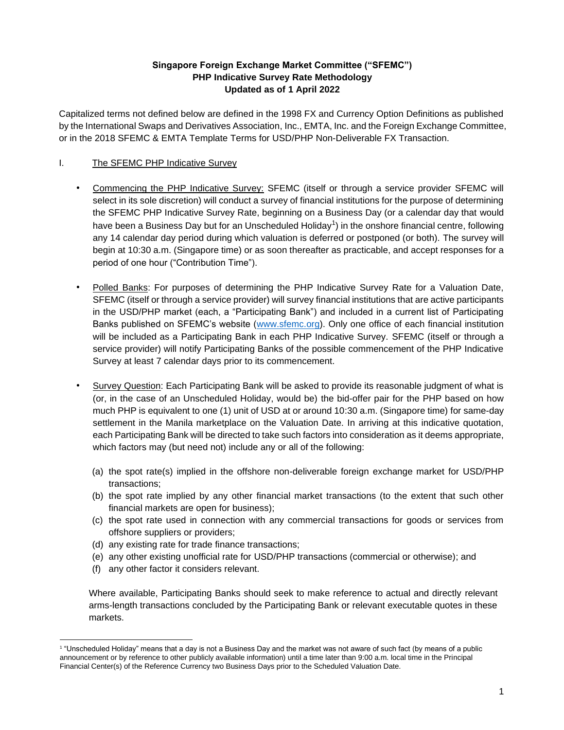## **Singapore Foreign Exchange Market Committee ("SFEMC") PHP Indicative Survey Rate Methodology Updated as of 1 April 2022**

Capitalized terms not defined below are defined in the 1998 FX and Currency Option Definitions as published by the International Swaps and Derivatives Association, Inc., EMTA, Inc. and the Foreign Exchange Committee, or in the 2018 SFEMC & EMTA Template Terms for USD/PHP Non-Deliverable FX Transaction.

# I. The SFEMC PHP Indicative Survey

- Commencing the PHP Indicative Survey: SFEMC (itself or through a service provider SFEMC will select in its sole discretion) will conduct a survey of financial institutions for the purpose of determining the SFEMC PHP Indicative Survey Rate, beginning on a Business Day (or a calendar day that would have been a Business Day but for an Unscheduled Holiday<sup>1</sup>) in the onshore financial centre, following any 14 calendar day period during which valuation is deferred or postponed (or both). The survey will begin at 10:30 a.m. (Singapore time) or as soon thereafter as practicable, and accept responses for a period of one hour ("Contribution Time").
- Polled Banks: For purposes of determining the PHP Indicative Survey Rate for a Valuation Date, SFEMC (itself or through a service provider) will survey financial institutions that are active participants in the USD/PHP market (each, a "Participating Bank") and included in a current list of Participating Banks published on SFEMC's website [\(www.sfemc.org\)](http://www.sfemc.org/). Only one office of each financial institution will be included as a Participating Bank in each PHP Indicative Survey. SFEMC (itself or through a service provider) will notify Participating Banks of the possible commencement of the PHP Indicative Survey at least 7 calendar days prior to its commencement.
- Survey Question: Each Participating Bank will be asked to provide its reasonable judgment of what is (or, in the case of an Unscheduled Holiday, would be) the bid-offer pair for the PHP based on how much PHP is equivalent to one (1) unit of USD at or around 10:30 a.m. (Singapore time) for same-day settlement in the Manila marketplace on the Valuation Date. In arriving at this indicative quotation, each Participating Bank will be directed to take such factors into consideration as it deems appropriate, which factors may (but need not) include any or all of the following:
	- (a) the spot rate(s) implied in the offshore non-deliverable foreign exchange market for USD/PHP transactions;
	- (b) the spot rate implied by any other financial market transactions (to the extent that such other financial markets are open for business);
	- (c) the spot rate used in connection with any commercial transactions for goods or services from offshore suppliers or providers;
	- (d) any existing rate for trade finance transactions;
	- (e) any other existing unofficial rate for USD/PHP transactions (commercial or otherwise); and
	- (f) any other factor it considers relevant.

Where available, Participating Banks should seek to make reference to actual and directly relevant arms-length transactions concluded by the Participating Bank or relevant executable quotes in these markets.

<sup>1</sup> "Unscheduled Holiday" means that a day is not a Business Day and the market was not aware of such fact (by means of a public announcement or by reference to other publicly available information) until a time later than 9:00 a.m. local time in the Principal Financial Center(s) of the Reference Currency two Business Days prior to the Scheduled Valuation Date.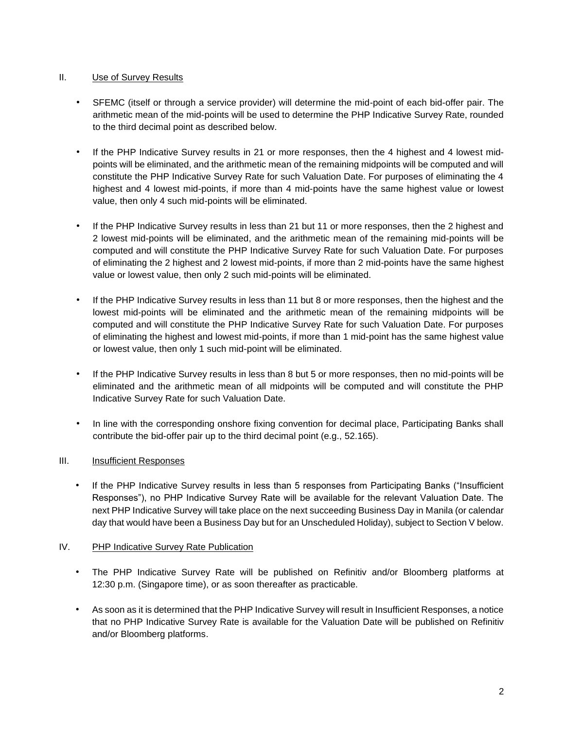### II. Use of Survey Results

- SFEMC (itself or through a service provider) will determine the mid-point of each bid-offer pair. The arithmetic mean of the mid-points will be used to determine the PHP Indicative Survey Rate, rounded to the third decimal point as described below.
- If the PHP Indicative Survey results in 21 or more responses, then the 4 highest and 4 lowest midpoints will be eliminated, and the arithmetic mean of the remaining midpoints will be computed and will constitute the PHP Indicative Survey Rate for such Valuation Date. For purposes of eliminating the 4 highest and 4 lowest mid-points, if more than 4 mid-points have the same highest value or lowest value, then only 4 such mid-points will be eliminated.
- If the PHP Indicative Survey results in less than 21 but 11 or more responses, then the 2 highest and 2 lowest mid-points will be eliminated, and the arithmetic mean of the remaining mid-points will be computed and will constitute the PHP Indicative Survey Rate for such Valuation Date. For purposes of eliminating the 2 highest and 2 lowest mid-points, if more than 2 mid-points have the same highest value or lowest value, then only 2 such mid-points will be eliminated.
- If the PHP Indicative Survey results in less than 11 but 8 or more responses, then the highest and the lowest mid-points will be eliminated and the arithmetic mean of the remaining midpoints will be computed and will constitute the PHP Indicative Survey Rate for such Valuation Date. For purposes of eliminating the highest and lowest mid-points, if more than 1 mid-point has the same highest value or lowest value, then only 1 such mid-point will be eliminated.
- If the PHP Indicative Survey results in less than 8 but 5 or more responses, then no mid-points will be eliminated and the arithmetic mean of all midpoints will be computed and will constitute the PHP Indicative Survey Rate for such Valuation Date.
- In line with the corresponding onshore fixing convention for decimal place, Participating Banks shall contribute the bid-offer pair up to the third decimal point (e.g., 52.165).

# III. Insufficient Responses

If the PHP Indicative Survey results in less than 5 responses from Participating Banks ("Insufficient Responses"), no PHP Indicative Survey Rate will be available for the relevant Valuation Date. The next PHP Indicative Survey will take place on the next succeeding Business Day in Manila (or calendar day that would have been a Business Day but for an Unscheduled Holiday), subject to Section V below.

#### IV. PHP Indicative Survey Rate Publication

- The PHP Indicative Survey Rate will be published on Refinitiv and/or Bloomberg platforms at 12:30 p.m. (Singapore time), or as soon thereafter as practicable.
- As soon as it is determined that the PHP Indicative Survey will result in Insufficient Responses, a notice that no PHP Indicative Survey Rate is available for the Valuation Date will be published on Refinitiv and/or Bloomberg platforms.